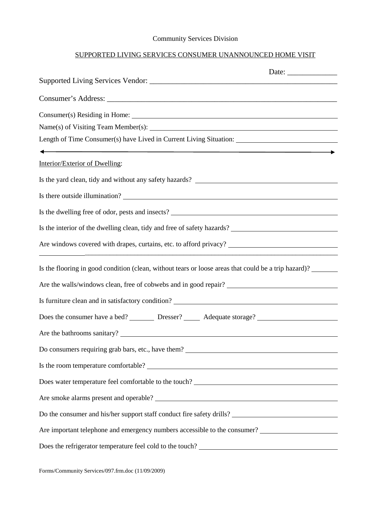## Community Services Division

## SUPPORTED LIVING SERVICES CONSUMER UNANNOUNCED HOME VISIT

| Date: $\frac{1}{\sqrt{1-\frac{1}{2}}\cdot\frac{1}{2}}$                                                           |  |
|------------------------------------------------------------------------------------------------------------------|--|
|                                                                                                                  |  |
|                                                                                                                  |  |
|                                                                                                                  |  |
|                                                                                                                  |  |
| Length of Time Consumer(s) have Lived in Current Living Situation: _________________________________             |  |
|                                                                                                                  |  |
| Interior/Exterior of Dwelling:                                                                                   |  |
|                                                                                                                  |  |
|                                                                                                                  |  |
| Is the dwelling free of odor, pests and insects?<br><u>Letting</u> the dwelling free of odor, pests and insects? |  |
| Is the interior of the dwelling clean, tidy and free of safety hazards? ____________________________             |  |
| <u> 1990 - Jan James Sandarík (f. 1980)</u>                                                                      |  |
| Is the flooring in good condition (clean, without tears or loose areas that could be a trip hazard)?             |  |
|                                                                                                                  |  |
|                                                                                                                  |  |
| Does the consumer have a bed? _________ Dresser? _______ Adequate storage? _________________________             |  |
|                                                                                                                  |  |
| Do consumers requiring grab bars, etc., have them?                                                               |  |
| Is the room temperature comfortable?<br><u> and</u> the room temperature comfortable?                            |  |
|                                                                                                                  |  |
| Are smoke alarms present and operable?                                                                           |  |
|                                                                                                                  |  |
| Are important telephone and emergency numbers accessible to the consumer?<br><u>Letter and the consumer</u>      |  |
| Does the refrigerator temperature feel cold to the touch?                                                        |  |